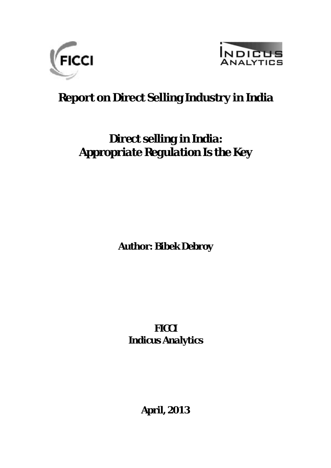



# **Report on Direct Selling Industry in India**

# *Direct selling in India: Appropriate Regulation Is the Key*

**Author:** *Bibek Debroy*

*FICCI Indicus Analytics*

*April, 2013*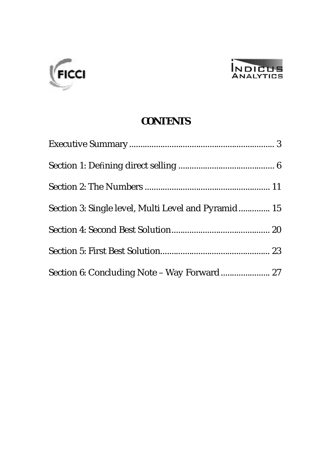



#### **CONTENTS**

| Section 3: Single level, Multi Level and Pyramid 15 |  |
|-----------------------------------------------------|--|
|                                                     |  |
|                                                     |  |
|                                                     |  |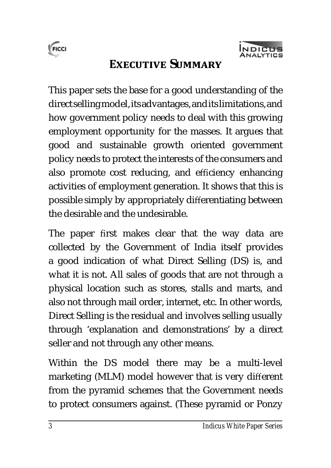



### **EXECUTIVE SUMMARY**

This paper sets the base for a good understanding of the direct selling model, its advantages, and its limitations, and how government policy needs to deal with this growing employment opportunity for the masses. It argues that good and sustainable growth oriented government policy needs to protect the interests of the consumers and also promote cost reducing, and efficiency enhancing activities of employment generation. It shows that this is possible simply by appropriately differentiating between the desirable and the undesirable.

The paper first makes clear that the way data are collected by the Government of India itself provides a good indication of what Direct Selling (DS) is, and what it is not. All sales of goods that are not through a physical location such as stores, stalls and marts, and also not through mail order, internet, etc. In other words, Direct Selling is the residual and involves selling usually through 'explanation and demonstrations' by a direct seller and not through any other means.

Within the DS model there may be a multi-level marketing (MLM) model however that is very different from the pyramid schemes that the Government needs to protect consumers against. (These pyramid or Ponzy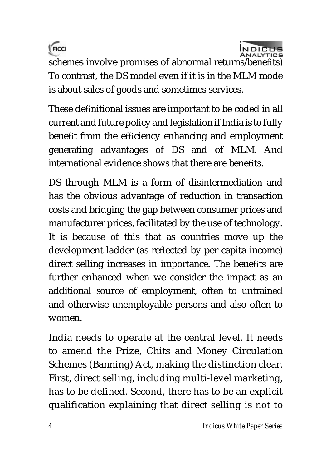



schemes involve promises of abnormal returns/benefits) To contrast, the DS model even if it is in the MLM mode is about sales of goods and sometimes services.

These definitional issues are important to be coded in all current and future policy and legislation if India is to fully benefit from the efficiency enhancing and employment generating advantages of DS and of MLM. And international evidence shows that there are benefits.

DS through MLM is a form of disintermediation and has the obvious advantage of reduction in transaction costs and bridging the gap between consumer prices and manufacturer prices, facilitated by the use of technology. It is because of this that as countries move up the development ladder (as reflected by per capita income) direct selling increases in importance. The benefits are further enhanced when we consider the impact as an additional source of employment, often to untrained and otherwise unemployable persons and also often to women.

India needs to operate at the central level. It needs to amend the Prize, Chits and Money Circulation Schemes (Banning) Act, making the distinction clear. First, direct selling, including multi-level marketing, has to be defined. Second, there has to be an explicit qualification explaining that direct selling is not to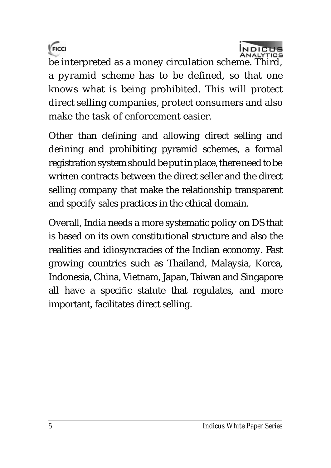



be interpreted as a money circulation scheme. Third, a pyramid scheme has to be defined, so that one knows what is being prohibited. This will protect direct selling companies, protect consumers and also make the task of enforcement easier.

Other than defining and allowing direct selling and defining and prohibiting pyramid schemes, a formal registration system should be put in place, there need to be written contracts between the direct seller and the direct selling company that make the relationship transparent and specify sales practices in the ethical domain.

Overall, India needs a more systematic policy on DS that is based on its own constitutional structure and also the realities and idiosyncracies of the Indian economy. Fast growing countries such as Thailand, Malaysia, Korea, Indonesia, China, Vietnam, Japan, Taiwan and Singapore all have a specific statute that regulates, and more important, facilitates direct selling.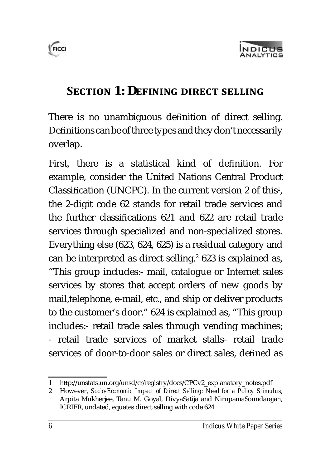



### **SECTION 1: DEFINING DIRECT SELLING**

There is no unambiguous definition of direct selling. Definitions can be of three types and they don't necessarily overlap.

First, there is a statistical kind of definition. For example, consider the United Nations Central Product Classification (UNCPC). In the current version 2 of this<sup>1</sup>, the 2-digit code 62 stands for retail trade services and the further classifications 621 and 622 are retail trade services through specialized and non-specialized stores. Everything else (623, 624, 625) is a residual category and can be interpreted as direct selling. $2$  623 is explained as, "This group includes:- mail, catalogue or Internet sales services by stores that accept orders of new goods by mail,telephone, e-mail, etc., and ship or deliver products to the customer's door." 624 is explained as, "This group includes:- retail trade sales through vending machines; - retail trade services of market stalls- retail trade services of door-to-door sales or direct sales, defined as

<sup>1</sup> http://unstats.un.org/unsd/cr/registry/docs/CPCv2\_explanatory\_notes.pdf

<sup>2</sup> However, *Socio-Economic Impact of Direct Selling: Need for a Policy Stimulus*, Arpita Mukherjee, Tanu M. Goyal, DivyaSatija and NirupamaSoundarajan, ICRIER, undated, equates direct selling with code 624.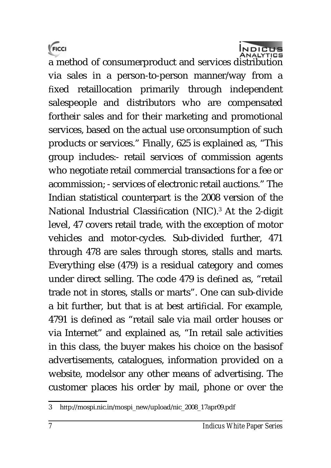



a method of consumerproduct and services distribution via sales in a person-to-person manner/way from a fixed retaillocation primarily through independent salespeople and distributors who are compensated fortheir sales and for their marketing and promotional services, based on the actual use orconsumption of such products or services." Finally, 625 is explained as, "This group includes:- retail services of commission agents who negotiate retail commercial transactions for a fee or acommission; - services of electronic retail auctions." The Indian statistical counterpart is the 2008 version of the National Industrial Classification (NIC).<sup>3</sup> At the 2-digit level, 47 covers retail trade, with the exception of motor vehicles and motor-cycles. Sub-divided further, 471 through 478 are sales through stores, stalls and marts. Everything else (479) is a residual category and comes under direct selling. The code 479 is defined as, "retail trade not in stores, stalls or marts". One can sub-divide a bit further, but that is at best artificial. For example, 4791 is defined as "retail sale via mail order houses or via Internet" and explained as, "In retail sale activities in this class, the buyer makes his choice on the basisof advertisements, catalogues, information provided on a website, modelsor any other means of advertising. The customer places his order by mail, phone or over the

<sup>3</sup> http://mospi.nic.in/mospi\_new/upload/nic\_2008\_17apr09.pdf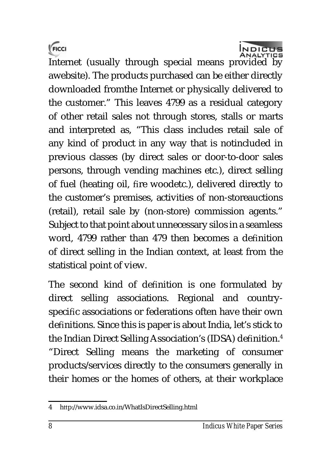



Internet (usually through special means provided by awebsite). The products purchased can be either directly downloaded fromthe Internet or physically delivered to the customer." This leaves 4799 as a residual category of other retail sales not through stores, stalls or marts and interpreted as, "This class includes retail sale of any kind of product in any way that is notincluded in previous classes (by direct sales or door-to-door sales persons, through vending machines etc.), direct selling of fuel (heating oil, fire woodetc.), delivered directly to the customer's premises, activities of non-storeauctions (retail), retail sale by (non-store) commission agents." Subject to that point about unnecessary silos in a seamless word, 4799 rather than 479 then becomes a definition of direct selling in the Indian context, at least from the statistical point of view.

The second kind of definition is one formulated by direct selling associations. Regional and countryspecific associations or federations often have their own definitions. Since this is paper is about India, let's stick to the Indian Direct Selling Association's (IDSA) definition.<sup>4</sup> "Direct Selling means the marketing of consumer products/services directly to the consumers generally in their homes or the homes of others, at their workplace

<sup>4</sup> http://www.idsa.co.in/WhatIsDirectSelling.html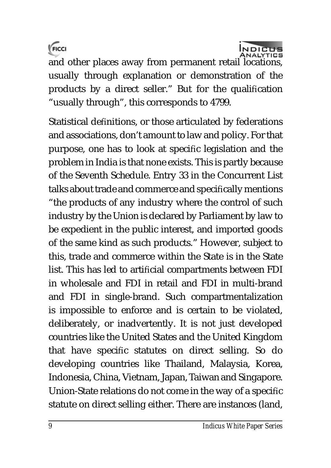FICCI



and other places away from permanent retail locations, usually through explanation or demonstration of the products by a direct seller." But for the qualification "usually through", this corresponds to 4799.

Statistical definitions, or those articulated by federations and associations, don't amount to law and policy. For that purpose, one has to look at specific legislation and the problem in India is that none exists. This is partly because of the Seventh Schedule. Entry 33 in the Concurrent List talks about trade and commerce and specifically mentions "the products of any industry where the control of such industry by the Union is declared by Parliament by law to be expedient in the public interest, and imported goods of the same kind as such products." However, subject to this, trade and commerce within the State is in the State list. This has led to artificial compartments between FDI in wholesale and FDI in retail and FDI in multi-brand and FDI in single-brand. Such compartmentalization is impossible to enforce and is certain to be violated, deliberately, or inadvertently. It is not just developed countries like the United States and the United Kingdom that have specific statutes on direct selling. So do developing countries like Thailand, Malaysia, Korea, Indonesia, China, Vietnam, Japan, Taiwan and Singapore. Union-State relations do not come in the way of a specific statute on direct selling either. There are instances (land,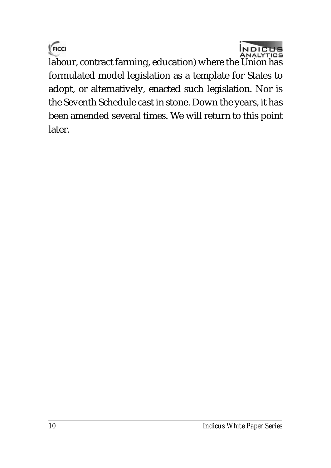



labour, contract farming, education) where the Union has formulated model legislation as a template for States to adopt, or alternatively, enacted such legislation. Nor is the Seventh Schedule cast in stone. Down the years, it has been amended several times. We will return to this point later.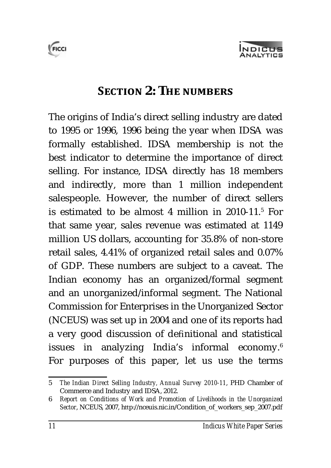



### **SECTION 2: THE NUMBERS**

The origins of India's direct selling industry are dated to 1995 or 1996, 1996 being the year when IDSA was formally established. IDSA membership is not the best indicator to determine the importance of direct selling. For instance, IDSA directly has 18 members and indirectly, more than 1 million independent salespeople. However, the number of direct sellers is estimated to be almost 4 million in 2010-11.<sup>5</sup> For that same year, sales revenue was estimated at 1149 million US dollars, accounting for 35.8% of non-store retail sales, 4.41% of organized retail sales and 0.07% of GDP. These numbers are subject to a caveat. The Indian economy has an organized/formal segment and an unorganized/informal segment. The National Commission for Enterprises in the Unorganized Sector (NCEUS) was set up in 2004 and one of its reports had a very good discussion of definitional and statistical issues in analyzing India's informal economy.<sup>6</sup> For purposes of this paper, let us use the terms

<sup>5</sup> *The Indian Direct Selling Industry, Annual Survey 2010-11*, PHD Chamber of Commerce and Industry and IDSA, 2012.

<sup>6</sup> *Report on Conditions of Work and Promotion of Livelihoods in the Unorganized Sector*, NCEUS, 2007, http://nceuis.nic.in/Condition\_of\_workers\_sep\_2007.pdf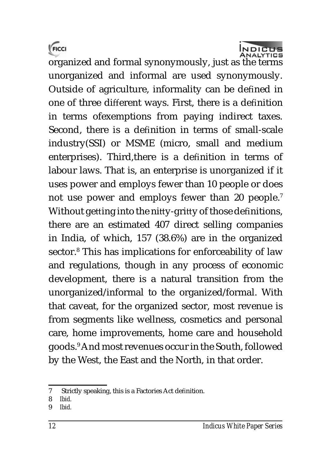



organized and formal synonymously, just as the terms unorganized and informal are used synonymously. Outside of agriculture, informality can be defined in one of three different ways. First, there is a definition in terms ofexemptions from paying indirect taxes. Second, there is a definition in terms of small-scale industry(SSI) or MSME (micro, small and medium enterprises). Third, there is a definition in terms of labour laws. That is, an enterprise is unorganized if it uses power and employs fewer than 10 people or does not use power and employs fewer than 20 people.<sup>7</sup> Without getting into the nitty-gritty of those definitions, there are an estimated 407 direct selling companies in India, of which, 157 (38.6%) are in the organized sector.<sup>8</sup> This has implications for enforceability of law and regulations, though in any process of economic development, there is a natural transition from the unorganized/informal to the organized/formal. With that caveat, for the organized sector, most revenue is from segments like wellness, cosmetics and personal care, home improvements, home care and household goods.<sup>9</sup> And most revenues occur in the South, followed by the West, the East and the North, in that order.

9 *Ibid.*

<sup>7</sup> Strictly speaking, this is a Factories Act definition.

<sup>8</sup> *Ibid.*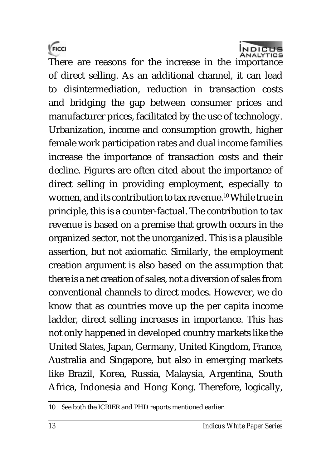



There are reasons for the increase in the importance of direct selling. As an additional channel, it can lead to disintermediation, reduction in transaction costs and bridging the gap between consumer prices and manufacturer prices, facilitated by the use of technology. Urbanization, income and consumption growth, higher female work participation rates and dual income families increase the importance of transaction costs and their decline. Figures are often cited about the importance of direct selling in providing employment, especially to women, and its contribution to tax revenue.<sup>10</sup> While true in principle, this is a counter-factual. The contribution to tax revenue is based on a premise that growth occurs in the organized sector, not the unorganized. This is a plausible assertion, but not axiomatic. Similarly, the employment creation argument is also based on the assumption that there is a net creation of sales, not a diversion of sales from conventional channels to direct modes. However, we do know that as countries move up the per capita income ladder, direct selling increases in importance. This has not only happened in developed country markets like the United States, Japan, Germany, United Kingdom, France, Australia and Singapore, but also in emerging markets like Brazil, Korea, Russia, Malaysia, Argentina, South Africa, Indonesia and Hong Kong. Therefore, logically,

<sup>10</sup> See both the ICRIER and PHD reports mentioned earlier.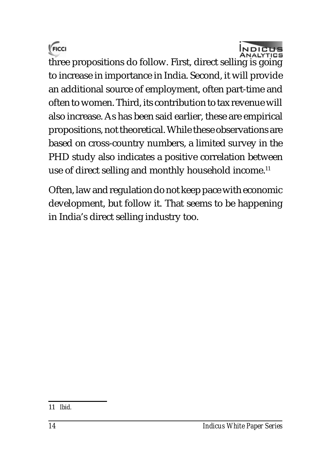



three propositions do follow. First, direct selling is going to increase in importance in India. Second, it will provide an additional source of employment, often part-time and often to women. Third, its contribution to tax revenue will also increase. As has been said earlier, these are empirical propositions, not theoretical. While these observations are based on cross-country numbers, a limited survey in the PHD study also indicates a positive correlation between use of direct selling and monthly household income.<sup>11</sup>

Often, law and regulation do not keep pace with economic development, but follow it. That seems to be happening in India's direct selling industry too.

<sup>11</sup> *Ibid.*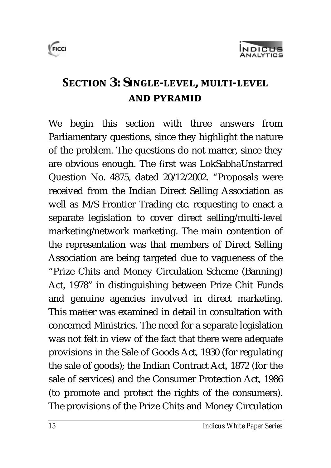

# **SECTION 3: SINGLE-LEVEL, MULTI-LEVEL AND PYRAMID**

We begin this section with three answers from Parliamentary questions, since they highlight the nature of the problem. The questions do not matter, since they are obvious enough. The first was LokSabhaUnstarred Question No. 4875, dated 20/12/2002. "Proposals were received from the Indian Direct Selling Association as well as M/S Frontier Trading etc. requesting to enact a separate legislation to cover direct selling/multi-level marketing/network marketing. The main contention of the representation was that members of Direct Selling Association are being targeted due to vagueness of the "Prize Chits and Money Circulation Scheme (Banning) Act, 1978" in distinguishing between Prize Chit Funds and genuine agencies involved in direct marketing. This matter was examined in detail in consultation with concerned Ministries. The need for a separate legislation was not felt in view of the fact that there were adequate provisions in the Sale of Goods Act, 1930 (for regulating the sale of goods); the Indian Contract Act, 1872 (for the sale of services) and the Consumer Protection Act, 1986 (to promote and protect the rights of the consumers). The provisions of the Prize Chits and Money Circulation

FICCI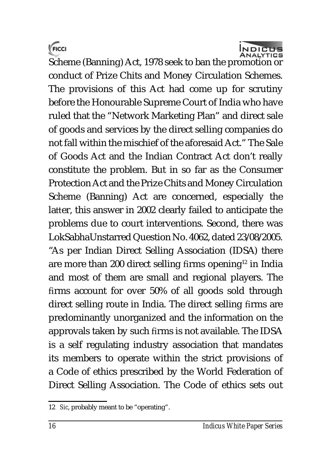



Scheme (Banning) Act, 1978 seek to ban the promotion or conduct of Prize Chits and Money Circulation Schemes. The provisions of this Act had come up for scrutiny before the Honourable Supreme Court of India who have ruled that the "Network Marketing Plan" and direct sale of goods and services by the direct selling companies do not fall within the mischief of the aforesaid Act." The Sale of Goods Act and the Indian Contract Act don't really constitute the problem. But in so far as the Consumer Protection Act and the Prize Chits and Money Circulation Scheme (Banning) Act are concerned, especially the latter, this answer in 2002 clearly failed to anticipate the problems due to court interventions. Second, there was LokSabhaUnstarred Question No. 4062, dated 23/08/2005. "As per Indian Direct Selling Association (IDSA) there are more than 200 direct selling firms opening<sup>12</sup> in India and most of them are small and regional players. The firms account for over 50% of all goods sold through direct selling route in India. The direct selling firms are predominantly unorganized and the information on the approvals taken by such firms is not available. The IDSA is a self regulating industry association that mandates its members to operate within the strict provisions of a Code of ethics prescribed by the World Federation of Direct Selling Association. The Code of ethics sets out

<sup>12</sup> *Sic*, probably meant to be "operating".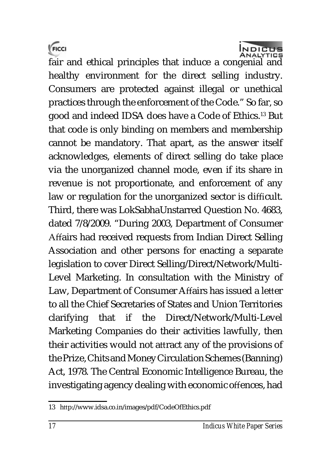$\sqrt{F}$ <sub>FICCI</sub>



fair and ethical principles that induce a congenial and healthy environment for the direct selling industry. Consumers are protected against illegal or unethical practices through the enforcement of the Code." So far, so good and indeed IDSA does have a Code of Ethics.<sup>13</sup> But that code is only binding on members and membership cannot be mandatory. That apart, as the answer itself acknowledges, elements of direct selling do take place via the unorganized channel mode, even if its share in revenue is not proportionate, and enforcement of any law or regulation for the unorganized sector is difficult. Third, there was LokSabhaUnstarred Question No. 4683, dated 7/8/2009. "During 2003, Department of Consumer Affairs had received requests from Indian Direct Selling Association and other persons for enacting a separate legislation to cover Direct Selling/Direct/Network/Multi-Level Marketing. In consultation with the Ministry of Law, Department of Consumer Affairs has issued a letter to all the Chief Secretaries of States and Union Territories clarifying that if the Direct/Network/Multi-Level Marketing Companies do their activities lawfully, then their activities would not attract any of the provisions of the Prize, Chits and Money Circulation Schemes (Banning) Act, 1978. The Central Economic Intelligence Bureau, the investigating agency dealing with economic offences, had

<sup>13</sup> http://www.idsa.co.in/images/pdf/CodeOfEthics.pdf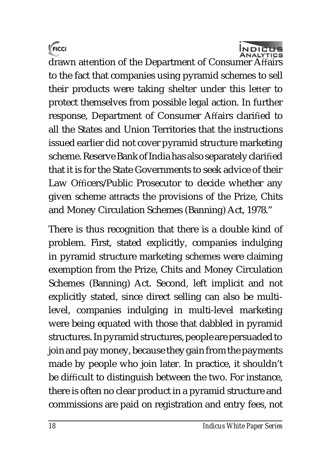



drawn attention of the Department of Consumer Affairs to the fact that companies using pyramid schemes to sell their products were taking shelter under this letter to protect themselves from possible legal action. In further response, Department of Consumer Affairs clarified to all the States and Union Territories that the instructions issued earlier did not cover pyramid structure marketing scheme. Reserve Bank of India has also separately clarified that it is for the State Governments to seek advice of their Law Officers/Public Prosecutor to decide whether any given scheme attracts the provisions of the Prize, Chits and Money Circulation Schemes (Banning) Act, 1978."

There is thus recognition that there is a double kind of problem. First, stated explicitly, companies indulging in pyramid structure marketing schemes were claiming exemption from the Prize, Chits and Money Circulation Schemes (Banning) Act. Second, left implicit and not explicitly stated, since direct selling can also be multilevel, companies indulging in multi-level marketing were being equated with those that dabbled in pyramid structures. In pyramid structures, people are persuaded to join and pay money, because they gain from the payments made by people who join later. In practice, it shouldn't be difficult to distinguish between the two. For instance, there is often no clear product in a pyramid structure and commissions are paid on registration and entry fees, not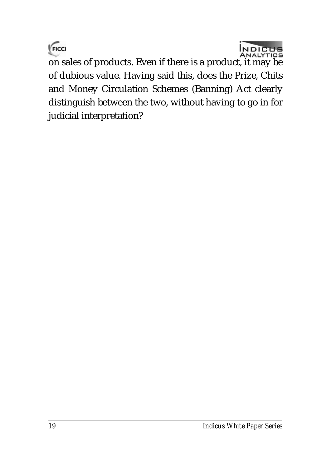



on sales of products. Even if there is a product, it may be of dubious value. Having said this, does the Prize, Chits and Money Circulation Schemes (Banning) Act clearly distinguish between the two, without having to go in for judicial interpretation?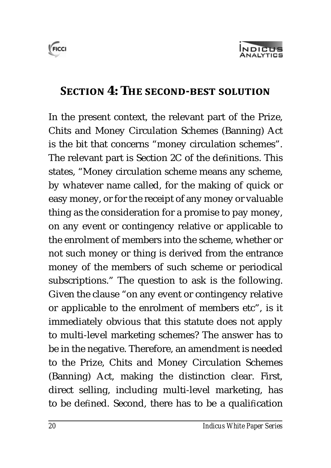



### **SECTION 4: THE SECOND-BEST SOLUTION**

In the present context, the relevant part of the Prize, Chits and Money Circulation Schemes (Banning) Act is the bit that concerns "money circulation schemes". The relevant part is Section 2C of the definitions. This states, "Money circulation scheme means any scheme, by whatever name called, for the making of quick or easy money, or for the receipt of any money or valuable thing as the consideration for a promise to pay money, on any event or contingency relative or applicable to the enrolment of members into the scheme, whether or not such money or thing is derived from the entrance money of the members of such scheme or periodical subscriptions." The question to ask is the following. Given the clause "on any event or contingency relative or applicable to the enrolment of members etc", is it immediately obvious that this statute does not apply to multi-level marketing schemes? The answer has to be in the negative. Therefore, an amendment is needed to the Prize, Chits and Money Circulation Schemes (Banning) Act, making the distinction clear. First, direct selling, including multi-level marketing, has to be defined. Second, there has to be a qualification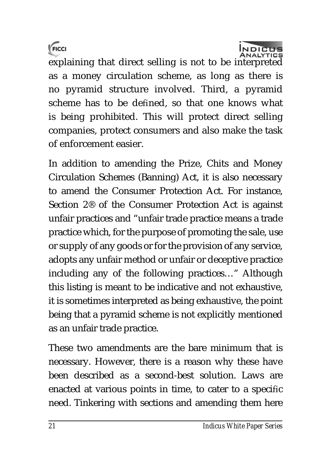FICCI



explaining that direct selling is not to be interpreted as a money circulation scheme, as long as there is no pyramid structure involved. Third, a pyramid scheme has to be defined, so that one knows what is being prohibited. This will protect direct selling companies, protect consumers and also make the task of enforcement easier.

In addition to amending the Prize, Chits and Money Circulation Schemes (Banning) Act, it is also necessary to amend the Consumer Protection Act. For instance, Section 2® of the Consumer Protection Act is against unfair practices and "unfair trade practice means a trade practice which, for the purpose of promoting the sale, use or supply of any goods or for the provision of any service, adopts any unfair method or unfair or deceptive practice including any of the following practices…" Although this listing is meant to be indicative and not exhaustive, it is sometimes interpreted as being exhaustive, the point being that a pyramid scheme is not explicitly mentioned as an unfair trade practice.

These two amendments are the bare minimum that is necessary. However, there is a reason why these have been described as a second-best solution. Laws are enacted at various points in time, to cater to a specific need. Tinkering with sections and amending them here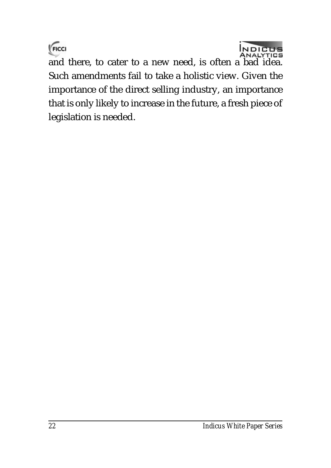



and there, to cater to a new need, is often a bad idea. Such amendments fail to take a holistic view. Given the importance of the direct selling industry, an importance that is only likely to increase in the future, a fresh piece of legislation is needed.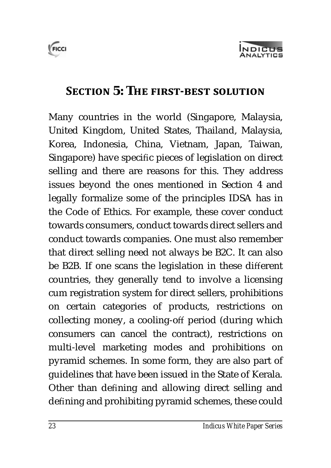



### **SECTION 5: THE FIRST-BEST SOLUTION**

Many countries in the world (Singapore, Malaysia, United Kingdom, United States, Thailand, Malaysia, Korea, Indonesia, China, Vietnam, Japan, Taiwan, Singapore) have specific pieces of legislation on direct selling and there are reasons for this. They address issues beyond the ones mentioned in Section 4 and legally formalize some of the principles IDSA has in the Code of Ethics. For example, these cover conduct towards consumers, conduct towards direct sellers and conduct towards companies. One must also remember that direct selling need not always be B2C. It can also be B2B. If one scans the legislation in these different countries, they generally tend to involve a licensing cum registration system for direct sellers, prohibitions on certain categories of products, restrictions on collecting money, a cooling-off period (during which consumers can cancel the contract), restrictions on multi-level marketing modes and prohibitions on pyramid schemes. In some form, they are also part of guidelines that have been issued in the State of Kerala. Other than defining and allowing direct selling and defining and prohibiting pyramid schemes, these could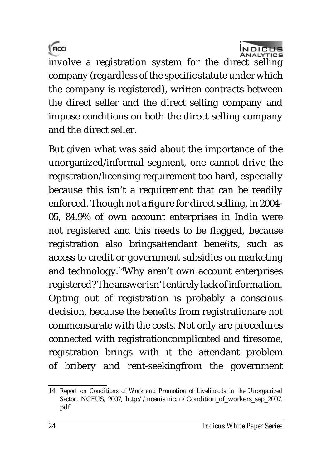



involve a registration system for the direct selling company (regardless of the specific statute under which the company is registered), written contracts between the direct seller and the direct selling company and impose conditions on both the direct selling company and the direct seller.

But given what was said about the importance of the unorganized/informal segment, one cannot drive the registration/licensing requirement too hard, especially because this isn't a requirement that can be readily enforced. Though not a figure for direct selling, in 2004-05, 84.9% of own account enterprises in India were not registered and this needs to be flagged, because registration also bringsattendant benefits, such as access to credit or government subsidies on marketing and technology.<sup>14</sup>Why aren't own account enterprises registered? The answer isn't entirely lack of information. Opting out of registration is probably a conscious decision, because the benefits from registrationare not commensurate with the costs. Not only are procedures connected with registrationcomplicated and tiresome, registration brings with it the attendant problem of bribery and rent-seekingfrom the government

<sup>14</sup> *Report on Conditions of Work and Promotion of Livelihoods in the Unorganized Sector*, NCEUS, 2007, [http://nceuis.nic.in/Condition\\_of\\_workers\\_sep\\_2007.](http://nceuis.nic.in/Condition_of_workers_sep_2007.) pdf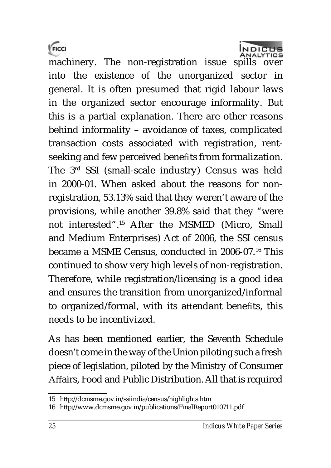FICCI



machinery. The non-registration issue spills over into the existence of the unorganized sector in general. It is often presumed that rigid labour laws in the organized sector encourage informality. But this is a partial explanation. There are other reasons behind informality – avoidance of taxes, complicated transaction costs associated with registration, rentseeking and few perceived benefits from formalization. The 3rd SSI (small-scale industry) Census was held in 2000-01. When asked about the reasons for nonregistration, 53.13% said that they weren't aware of the provisions, while another 39.8% said that they "were not interested".<sup>15</sup> After the MSMED (Micro, Small and Medium Enterprises) Act of 2006, the SSI census became a MSME Census, conducted in 2006-07.<sup>16</sup> This continued to show very high levels of non-registration. Therefore, while registration/licensing is a good idea and ensures the transition from unorganized/informal to organized/formal, with its attendant benefits, this needs to be incentivized.

As has been mentioned earlier, the Seventh Schedule doesn't come in the way of the Union piloting such a fresh piece of legislation, piloted by the Ministry of Consumer Affairs, Food and Public Distribution. All that is required

<sup>15</sup> http://dcmsme.gov.in/ssiindia/census/highlights.htm

<sup>16</sup> http://www.dcmsme.gov.in/publications/FinalReport010711.pdf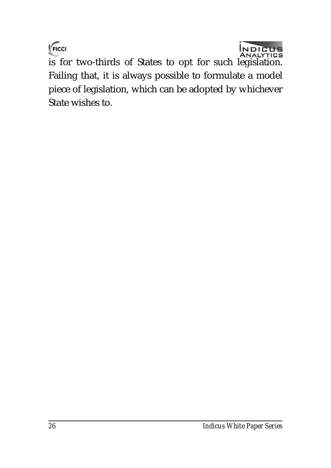$\sqrt{F}$ CCI



is for two-thirds of States to opt for such legislation. Failing that, it is always possible to formulate a model piece of legislation, which can be adopted by whichever State wishes to.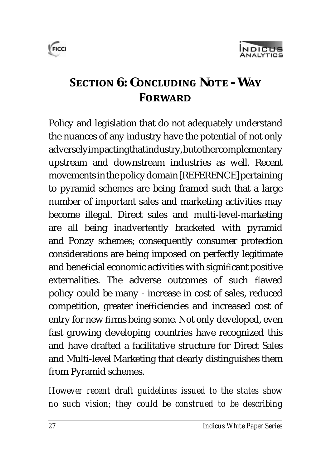



# **SECTION** 6: CONCLUDING NOTE - WAY **FORWARD**

Policy and legislation that do not adequately understand the nuances of any industry have the potential of not only adversely impacting that industry, but other complementary upstream and downstream industries as well. Recent movements in the policy domain [REFERENCE] pertaining to pyramid schemes are being framed such that a large number of important sales and marketing activities may become illegal. Direct sales and multi-level-marketing are all being inadvertently bracketed with pyramid and Ponzy schemes; consequently consumer protection considerations are being imposed on perfectly legitimate and beneficial economic activities with significant positive externalities. The adverse outcomes of such flawed policy could be many - increase in cost of sales, reduced competition, greater inefficiencies and increased cost of entry for new firms being some. Not only developed, even fast growing developing countries have recognized this and have drafted a facilitative structure for Direct Sales and Multi-level Marketing that clearly distinguishes them from Pyramid schemes.

*However recent draft guidelines issued to the states show no such vision; they could be construed to be describing*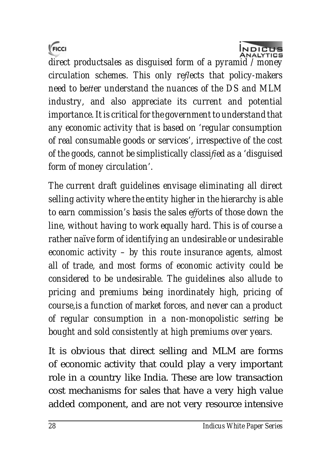



*direct productsales as disguised form of a pyramid / money circulation schemes. This only reĚ ects that policy-makers need to better understand the nuances of the DS and MLM industry, and also appreciate its current and potential importance. It is critical for the government to understand that any economic activity that is based on 'regular consumption of real consumable goods or services', irrespective of the cost of the goods, cannot be simplistically classified as a 'disguised form of money circulation'.*

*The current draft guidelines envisage eliminating all direct selling activity where the entity higher in the hierarchy is able to earn commission's basis the sales efforts of those down the line, without having to work equally hard. This is of course a rather naïve form of identifying an undesirable or undesirable economic activity – by this route insurance agents, almost all of trade, and most forms of economic activity could be considered to be undesirable. The guidelines also allude to pricing and premiums being inordinately high, pricing of course,is a function of market forces, and never can a product of regular consumption in a non-monopolistic setting be bought and sold consistently at high premiums over years.*

It is obvious that direct selling and MLM are forms of economic activity that could play a very important role in a country like India. These are low transaction cost mechanisms for sales that have a very high value added component, and are not very resource intensive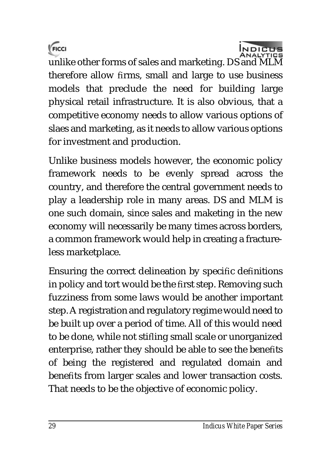



unlike other forms of sales and marketing. DS and MLM therefore allow firms, small and large to use business models that preclude the need for building large physical retail infrastructure. It is also obvious, that a competitive economy needs to allow various options of slaes and marketing, as it needs to allow various options for investment and production.

Unlike business models however, the economic policy framework needs to be evenly spread across the country, and therefore the central government needs to play a leadership role in many areas. DS and MLM is one such domain, since sales and maketing in the new economy will necessarily be many times across borders, a common framework would help in creating a fractureless marketplace.

Ensuring the correct delineation by specific definitions in policy and tort would be the first step. Removing such fuzziness from some laws would be another important step. A registration and regulatory regime would need to be built up over a period of time. All of this would need to be done, while not stifling small scale or unorganized enterprise, rather they should be able to see the benefits of being the registered and regulated domain and benefits from larger scales and lower transaction costs. That needs to be the objective of economic policy.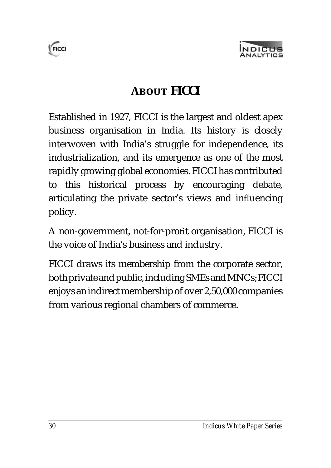



# **ABOUT FICCI**

Established in 1927, FICCI is the largest and oldest apex business organisation in India. Its history is closely interwoven with India's struggle for independence, its industrialization, and its emergence as one of the most rapidly growing global economies. FICCI has contributed to this historical process by encouraging debate, articulating the private sector's views and influencing policy.

A non-government, not-for-profit organisation, FICCI is the voice of India's business and industry.

FICCI draws its membership from the corporate sector, both private and public, including SMEs and MNCs; FICCI enjoys an indirect membership of over 2,50,000 companies from various regional chambers of commerce.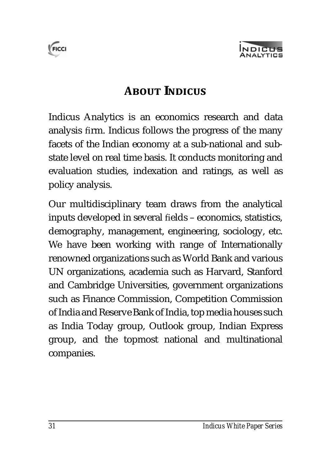



## **dZEEEDEEEEE**

Indicus Analytics is an economics research and data analysis firm. Indicus follows the progress of the many facets of the Indian economy at a sub-national and substate level on real time basis. It conducts monitoring and evaluation studies, indexation and ratings, as well as policy analysis.

Our multidisciplinary team draws from the analytical inputs developed in several fields – economics, statistics, demography, management, engineering, sociology, etc. We have been working with range of Internationally renowned organizations such as World Bank and various UN organizations, academia such as Harvard, Stanford and Cambridge Universities, government organizations such as Finance Commission, Competition Commission of India and Reserve Bank of India, top media houses such as India Today group, Outlook group, Indian Express group, and the topmost national and multinational companies.